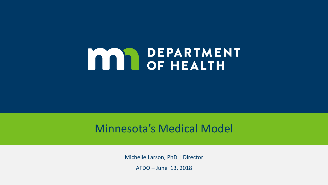# **MAN DEPARTMENT**

#### Minnesota's Medical Model

Michelle Larson, PhD | Director

AFDO – June 13, 2018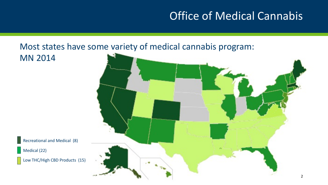### **Office of Medical Cannabis**

#### Most states have some variety of medical cannabis program:

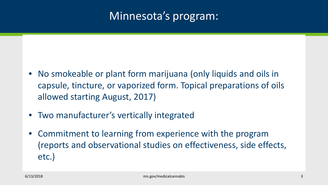#### Minnesota's program:

- No smokeable or plant form marijuana (only liquids and oils in capsule, tincture, or vaporized form. Topical preparations of oils allowed starting August, 2017)
- Two manufacturer's vertically integrated
- Commitment to learning from experience with the program (reports and observational studies on effectiveness, side effects, etc.)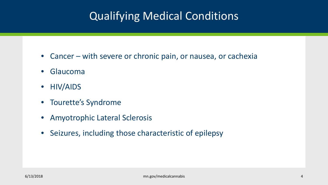## Qualifying Medical Conditions

- Cancer with severe or chronic pain, or nausea, or cachexia
- Glaucoma
- HIV/AIDS
- Tourette's Syndrome
- Amyotrophic Lateral Sclerosis
- Seizures, including those characteristic of epilepsy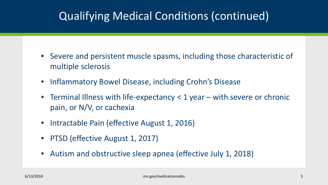### Qualifying Medical Conditions (continued)

- Severe and persistent muscle spasms, including those characteristic of multiple sclerosis
- Inflammatory Bowel Disease, including Crohn's Disease
- Terminal Illness with life-expectancy < 1 year with severe or chronic pain, or N/V, or cachexia
- Intractable Pain (effective August 1, 2016)
- PTSD (effective August 1, 2017)
- Autism and obstructive sleep apnea (effective July 1, 2018)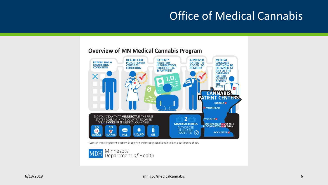#### Office of Medical Cannabis



#### **Overview of MN Medical Cannabis Program**

\*Care-giver may represent a patient by applying and meeting conditions including a background check.

Minnesota **MDH** Department of Health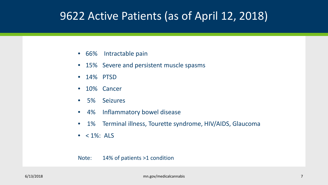#### 9622 Active Patients (as of April 12, 2018)

- 66% Intractable pain
- 15% Severe and persistent muscle spasms
- 14% PTSD
- 10% Cancer
- 5% Seizures
- 4% Inflammatory bowel disease
- 1% Terminal illness, Tourette syndrome, HIV/AIDS, Glaucoma
- $\bullet$  < 1%: ALS

#### Note: 14% of patients >1 condition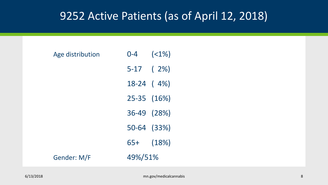#### 9252 Active Patients (as of April 12, 2018)

| Age distribution | $0 - 4$ | $( < 1\%)$    |  |  |
|------------------|---------|---------------|--|--|
|                  |         | $5-17$ (2%)   |  |  |
|                  |         | $18-24$ (4%)  |  |  |
|                  |         | 25-35 (16%)   |  |  |
|                  |         | 36-49 (28%)   |  |  |
|                  |         | 50-64 (33%)   |  |  |
|                  |         | $65+$ $(18%)$ |  |  |
| Gender: M/F      | 49%/51% |               |  |  |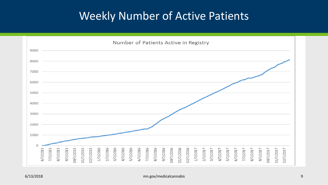#### Weekly Number of Active Patients

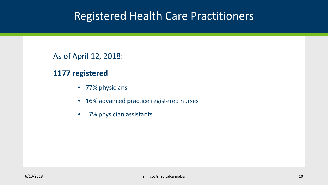#### Registered Health Care Practitioners

As of April 12, 2018:

#### **1177 registered**

- 77% physicians
- 16% advanced practice registered nurses
- 7% physician assistants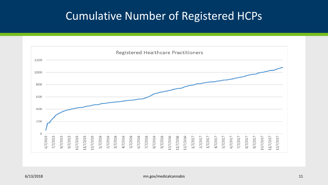#### Cumulative Number of Registered HCPs

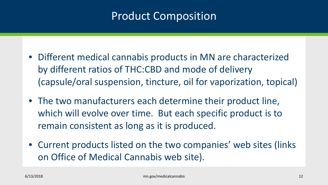#### **Product Composition**

- Different medical cannabis products in MN are characterized by different ratios of THC:CBD and mode of delivery (capsule/oral suspension, tincture, oil for vaporization, topical)
- The two manufacturers each determine their product line, which will evolve over time. But each specific product is to remain consistent as long as it is produced.
- Current products listed on the two companies' web sites (links) on Office of Medical Cannabis web site).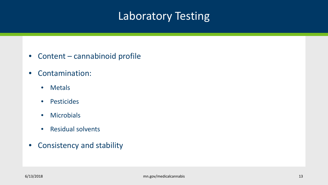### Laboratory Testing

- Content cannabinoid profile
- Contamination:
	- Metals
	- Pesticides
	- Microbials
	- Residual solvents
- Consistency and stability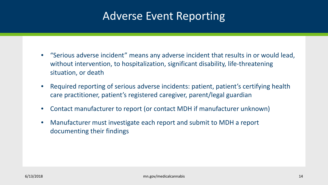#### Adverse Event Reporting

- "Serious adverse incident" means any adverse incident that results in or would lead, without intervention, to hospitalization, significant disability, life-threatening situation, or death
- Required reporting of serious adverse incidents: patient, patient's certifying health care practitioner, patient's registered caregiver, parent/legal guardian
- Contact manufacturer to report (or contact MDH if manufacturer unknown)
- Manufacturer must investigate each report and submit to MDH a report documenting their findings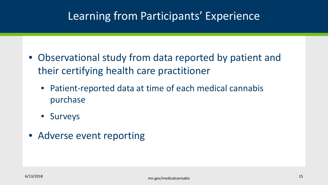#### Learning from Participants' Experience

- Observational study from data reported by patient and their certifying health care practitioner
	- Patient-reported data at time of each medical cannabis purchase
	- Surveys
- Adverse event reporting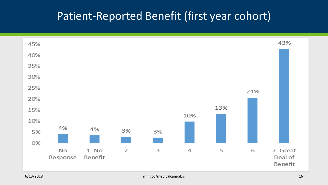#### Patient-Reported Benefit (first year cohort)

| 45% |                |                     |    |    |     |     |     | 43%                            |
|-----|----------------|---------------------|----|----|-----|-----|-----|--------------------------------|
| 40% |                |                     |    |    |     |     |     |                                |
| 35% |                |                     |    |    |     |     |     |                                |
| 30% |                |                     |    |    |     |     |     |                                |
| 25% |                |                     |    |    |     |     | 21% |                                |
| 20% |                |                     |    |    |     |     |     |                                |
| 15% |                |                     |    |    | 10% | 13% |     |                                |
| 10% |                |                     |    |    |     |     |     |                                |
| 5%  | 4%             | 4%                  | 3% | 3% |     |     |     |                                |
| 0%  |                |                     |    |    |     |     |     |                                |
|     | No<br>Response | $1 - No$<br>Benefit | 2  | 3  | 4   | 5   | 6   | 7- Great<br>Deal of<br>Benefit |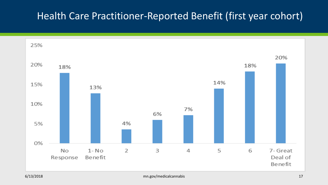#### Health Care Practitioner-Reported Benefit (first year cohort)

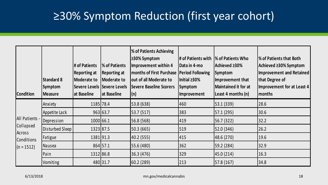## ≥30% Symptom Reduction (first year cohort)

| <b>Condition</b>                                                    | <b>Standard 8</b><br>Symptom<br><b>Measure</b> | # of Patients<br><b>Reporting at</b><br><b>Moderate to</b><br>at Baseline | % of Patients<br><b>Reporting at</b><br>Moderate to<br>Severe Levels Severe Levels<br>at Baseline | <b>% of Patients Achieving</b><br>$\geq$ 30% Symptom<br>Improvement within 4<br><b>months of First Purchase</b><br>out of all Moderate to<br><b>Severe Baseline Scorers</b><br>(n) | # of Patients with<br>Data in 4-mo<br><b>Period Following</b><br>Initial $\geq 30\%$<br>Symptom<br>Improvement | <b>1% of Patients Who</b><br> Achieved ≥30%<br>Symptom<br>Improvement that<br>Maintained it for at<br> Least 4 months (n) | <b>1% of Patients that Both</b><br>Achieved ≥30% Symptom<br>Improvement and Retained<br>that Degree of<br>Improvement for at Least 4<br> months |
|---------------------------------------------------------------------|------------------------------------------------|---------------------------------------------------------------------------|---------------------------------------------------------------------------------------------------|------------------------------------------------------------------------------------------------------------------------------------------------------------------------------------|----------------------------------------------------------------------------------------------------------------|---------------------------------------------------------------------------------------------------------------------------|-------------------------------------------------------------------------------------------------------------------------------------------------|
| All Patients -<br>Collapsed<br>Across<br>Conditions<br>$(n = 1512)$ | Anxiety                                        | 1185 78.4                                                                 |                                                                                                   | 53.8 (638)                                                                                                                                                                         | 460                                                                                                            | 53.1(339)                                                                                                                 | 28.6                                                                                                                                            |
|                                                                     | Appetite Lack                                  |                                                                           | 963 63.7                                                                                          | 53.7 (517)                                                                                                                                                                         | 383                                                                                                            | 57.1(295)                                                                                                                 | 30.6                                                                                                                                            |
|                                                                     | Depression                                     | 1000 66.1                                                                 |                                                                                                   | 56.8 (568)                                                                                                                                                                         | 419                                                                                                            | 56.7 (322)                                                                                                                | 32.2                                                                                                                                            |
|                                                                     | Disturbed Sleep                                | 1323 87.5                                                                 |                                                                                                   | 50.3 (665)                                                                                                                                                                         | 519                                                                                                            | 52.0 (346)                                                                                                                | 26.2                                                                                                                                            |
|                                                                     | Fatigue                                        | 1381 91.3                                                                 |                                                                                                   | 40.2 (555)                                                                                                                                                                         | 415                                                                                                            | 48.6 (270)                                                                                                                | 19.6                                                                                                                                            |
|                                                                     | Nausea                                         |                                                                           | 864 57.1                                                                                          | 55.6 (480)                                                                                                                                                                         | 362                                                                                                            | [59.2 (284)]                                                                                                              | 32.9                                                                                                                                            |
|                                                                     | Pain                                           | 1312 86.8                                                                 |                                                                                                   | 36.3 (476)                                                                                                                                                                         | 329                                                                                                            | 45.0(214)                                                                                                                 | 16.3                                                                                                                                            |
|                                                                     | Vomiting                                       |                                                                           | 480 31.7                                                                                          | 60.2(289)                                                                                                                                                                          | 213                                                                                                            | 57.8(167)                                                                                                                 | 34.8                                                                                                                                            |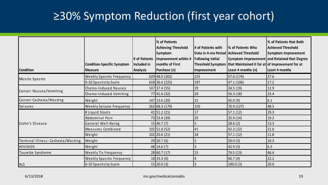## ≥30% Symptom Reduction (first year cohort)

| <b>Condition</b>                   | <b>Condition-Specific Symptom</b><br><b>Measure</b> | # of Patients<br>Included in<br><b>Analysis</b> | % of Patients<br><b>Achieving Threshold</b><br>Symptom<br>Improvement within 4<br><b>months of First</b><br>Purchase (n) | # of Patients with<br>Data in 4-mo Period Achieved Threshold<br><b>Following Initial</b><br>Improvement | <b>1% of Patients Who</b><br>Threshold Symptom   that Maintained it for at $ $ of Improvement for at<br>Least 4 months (n) | % of Patients that Both<br><b>Achieved Threshold</b><br>Symptom Improvement<br>Symptom Improvement and Retained that Degree<br>Least 4 months |
|------------------------------------|-----------------------------------------------------|-------------------------------------------------|--------------------------------------------------------------------------------------------------------------------------|---------------------------------------------------------------------------------------------------------|----------------------------------------------------------------------------------------------------------------------------|-----------------------------------------------------------------------------------------------------------------------------------------------|
| Muscle Spasms                      | <b>Weekly Spasms Frequency</b>                      |                                                 | 629 48.0 (302)                                                                                                           | 225                                                                                                     | 57.6(174)                                                                                                                  | 27.6                                                                                                                                          |
|                                    | 0-10 Spasticity Scale                               |                                                 | 618 36.4 (225)                                                                                                           | 197                                                                                                     | 47.1(106)                                                                                                                  | 17.2                                                                                                                                          |
| Cancer: Nausea/Vomiting            | Chemo-Induced Nausea                                |                                                 | 147 37.4 (55)                                                                                                            | 29                                                                                                      | 34.5 (19)                                                                                                                  | 12.9                                                                                                                                          |
|                                    | Chemo-Induced Vomiting                              |                                                 | 77 41.6 (32)                                                                                                             | 20                                                                                                      | 56.3 (18)                                                                                                                  | 23.4                                                                                                                                          |
| Cancer: Cachexia/Wasting           | Weight                                              |                                                 | 147 13.6 (20)                                                                                                            | 15                                                                                                      | 45.0 (9)                                                                                                                   | 6.1                                                                                                                                           |
| <b>Seizures</b>                    | <b>Weekly Seizure Frequency</b>                     |                                                 | 262 68.3 (179)                                                                                                           | 150                                                                                                     | 70.9 (127)                                                                                                                 | 48.5                                                                                                                                          |
|                                    | # Liquid Stools                                     |                                                 | $41$ 51.2 (21)                                                                                                           | 17                                                                                                      | 57.1(12)                                                                                                                   | 29.3                                                                                                                                          |
|                                    | Abdominal Pain                                      |                                                 | 73 53.4 (39)                                                                                                             | 29                                                                                                      | 35.9 (14)                                                                                                                  | 19.2                                                                                                                                          |
| Crohn's Disease                    | General Well-Being                                  |                                                 | 15 46.7(7)                                                                                                               | 5                                                                                                       | 28.6 (2)                                                                                                                   | 13.3                                                                                                                                          |
|                                    | Measures Combined                                   |                                                 | 102 51.0 (52)                                                                                                            | 41                                                                                                      | 42.3(22)                                                                                                                   | 21.6                                                                                                                                          |
|                                    | Weight                                              |                                                 | 102 20.6 (21)                                                                                                            | 18                                                                                                      | [57.1(12)]                                                                                                                 | 11.8                                                                                                                                          |
| Terminal Illness: Cachexia/Wasting | Weight                                              |                                                 | 29 20.7(6)                                                                                                               |                                                                                                         | 50.0(3)                                                                                                                    | 10.3                                                                                                                                          |
| HIV/AIDS                           | Weight                                              |                                                 | $48$ 14.6 (7)                                                                                                            |                                                                                                         | 42.9(3)                                                                                                                    | 6.3                                                                                                                                           |
| Tourette Syndrome                  | Weekly Tic Frequency                                |                                                 | 28 60.7(17)                                                                                                              | 15                                                                                                      | 76.5(13)                                                                                                                   | 46.4                                                                                                                                          |
|                                    | <b>Weekly Spasms Frequency</b>                      |                                                 | 18 33.3(6)                                                                                                               | 4                                                                                                       | 66.7(4)                                                                                                                    | 22.2                                                                                                                                          |
| <b>ALS</b>                         | 0-10 Spasticity Scale                               |                                                 | $15$   20.0 (3)                                                                                                          |                                                                                                         | 100.0(3)                                                                                                                   | 20.0                                                                                                                                          |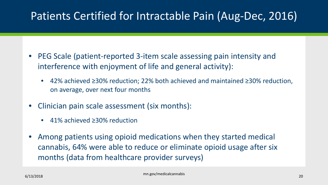#### Patients Certified for Intractable Pain (Aug-Dec, 2016)

- PEG Scale (patient-reported 3-item scale assessing pain intensity and interference with enjoyment of life and general activity):
	- 42% achieved ≥30% reduction; 22% both achieved and maintained ≥30% reduction, on average, over next four months
- Clinician pain scale assessment (six months):
	- 41% achieved ≥30% reduction
- Among patients using opioid medications when they started medical cannabis, 64% were able to reduce or eliminate opioid usage after six months (data from healthcare provider surveys)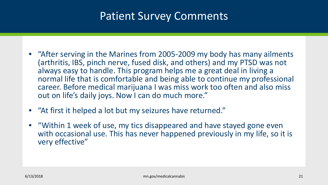#### Patient Survey Comments

- "After serving in the Marines from 2005-2009 my body has many ailments (arthritis, IBS, pinch nerve, fused disk, and others) and my PTSD was not always easy to handle. This program helps me a great deal in living a normal life that is comfortable and being able to continue my professional career. Before medical marijuana I was miss work too often and also miss out on life's daily joys. Now I can do much more."
- "At first it helped a lot but my seizures have returned."
- "Within 1 week of use, my tics disappeared and have stayed gone even with occasional use. This has never happened previously in my life, so it is very effective"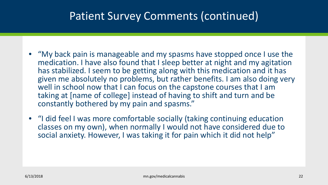#### Patient Survey Comments (continued)

- "My back pain is manageable and my spasms have stopped once I use the medication. I have also found that I sleep better at night and my agitation has stabilized. I seem to be getting along with this medication and it has given me absolutely no problems, but rather benefits. I am also doing very well in school now that I can focus on the capstone courses that I am taking at [name of college] instead of having to shift and turn and be constantly bothered by my pain and spasms."
- "I did feel I was more comfortable socially (taking continuing education classes on my own), when normally I would not have considered due to social anxiety. However, I was taking it for pain which it did not help"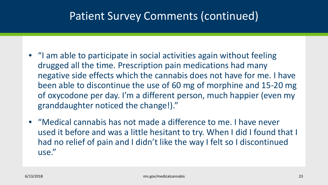#### Patient Survey Comments (continued)

- "I am able to participate in social activities again without feeling drugged all the time. Prescription pain medications had many negative side effects which the cannabis does not have for me. I have been able to discontinue the use of 60 mg of morphine and 15-20 mg of oxycodone per day. I'm a different person, much happier (even my granddaughter noticed the change!)."
- "Medical cannabis has not made a difference to me. I have never used it before and was a little hesitant to try. When I did I found that I had no relief of pain and I didn't like the way I felt so I discontinued use."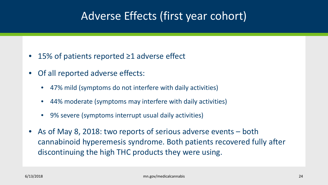#### Adverse Effects (first year cohort)

- 15% of patients reported ≥1 adverse effect
- Of all reported adverse effects:
	- 47% mild (symptoms do not interfere with daily activities)
	- 44% moderate (symptoms may interfere with daily activities)
	- 9% severe (symptoms interrupt usual daily activities)
- As of May 8, 2018: two reports of serious adverse events both cannabinoid hyperemesis syndrome. Both patients recovered fully after discontinuing the high THC products they were using.